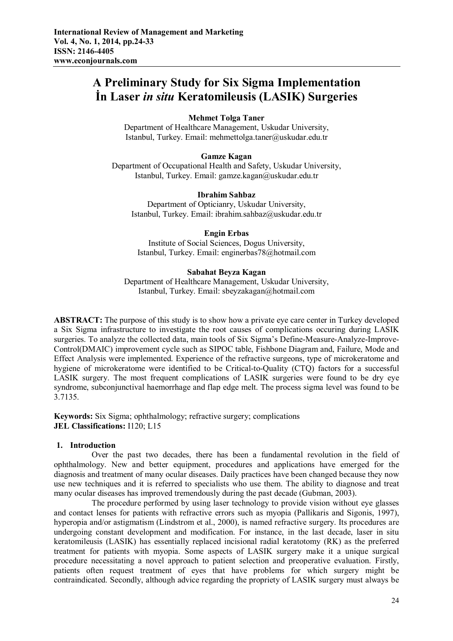# **A Preliminary Study for Six Sigma Implementation İn Laser** *in situ* **Keratomileusis (LASIK) Surgeries**

# **Mehmet Tolga Taner**

Department of Healthcare Management, Uskudar University, Istanbul, Turkey. Email: mehmettolga.taner@uskudar.edu.tr

# **Gamze Kagan**

Department of Occupational Health and Safety, Uskudar University, Istanbul, Turkey. Email: gamze.kagan@uskudar.edu.tr

#### **Ibrahim Sahbaz**

Department of Opticianry, Uskudar University, Istanbul, Turkey. Email: ibrahim.sahbaz@uskudar.edu.tr

## **Engin Erbas**

Institute of Social Sciences, Dogus University, Istanbul, Turkey. Email: enginerbas78@hotmail.com

## **Sabahat Beyza Kagan**

Department of Healthcare Management, Uskudar University, Istanbul, Turkey. Email: sbeyzakagan@hotmail.com

**ABSTRACT:** The purpose of this study is to show how a private eye care center in Turkey developed a Six Sigma infrastructure to investigate the root causes of complications occuring during LASIK surgeries. To analyze the collected data, main tools of Six Sigma's Define-Measure-Analyze-Improve-Control(DMAIC) improvement cycle such as SIPOC table, Fishbone Diagram and, Failure, Mode and Effect Analysis were implemented. Experience of the refractive surgeons, type of microkeratome and hygiene of microkeratome were identified to be Critical-to-Quality (CTQ) factors for a successful LASIK surgery. The most frequent complications of LASIK surgeries were found to be dry eye syndrome, subconjunctival haemorrhage and flap edge melt. The process sigma level was found to be 3.7135.

**Keywords:** Six Sigma; ophthalmology; refractive surgery; complications **JEL Classifications:** I120; L15

# **1. Introduction**

Over the past two decades, there has been a fundamental revolution in the field of ophthalmology. New and better equipment, procedures and applications have emerged for the diagnosis and treatment of many ocular diseases. Daily practices have been changed because they now use new techniques and it is referred to specialists who use them. The ability to diagnose and treat many ocular diseases has improved tremendously during the past decade (Gubman, 2003).

The procedure performed by using laser technology to provide vision without eye glasses and contact lenses for patients with refractive errors such as myopia (Pallikaris and Sigonis, 1997), hyperopia and/or astigmatism (Lindstrom et al., 2000), is named refractive surgery. Its procedures are undergoing constant development and modification. For instance, in the last decade, laser in situ keratomileusis (LASIK) has essentially replaced incisional radial keratotomy (RK) as the preferred treatment for patients with myopia. Some aspects of LASIK surgery make it a unique surgical procedure necessitating a novel approach to patient selection and preoperative evaluation. Firstly, patients often request treatment of eyes that have problems for which surgery might be contraindicated. Secondly, although advice regarding the propriety of LASIK surgery must always be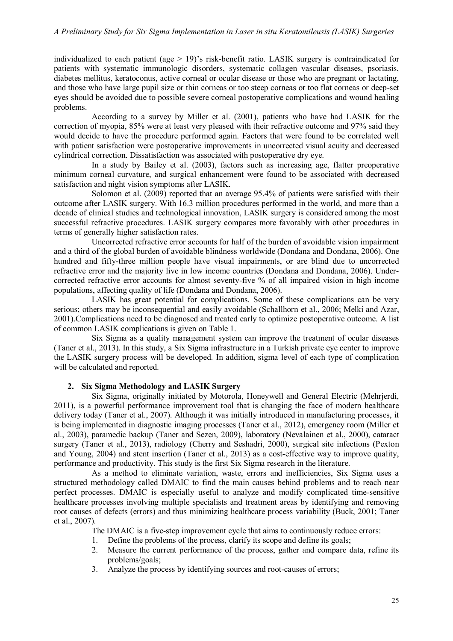individualized to each patient (age > 19)'s risk-benefit ratio. LASIK surgery is contraindicated for patients with systematic immunologic disorders, systematic collagen vascular diseases, psoriasis, diabetes mellitus, keratoconus, active corneal or ocular disease or those who are pregnant or lactating, and those who have large pupil size or thin corneas or too steep corneas or too flat corneas or deep-set eyes should be avoided due to possible severe corneal postoperative complications and wound healing problems.

According to a survey by Miller et al. (2001), patients who have had LASIK for the correction of myopia, 85% were at least very pleased with their refractive outcome and 97% said they would decide to have the procedure performed again. Factors that were found to be correlated well with patient satisfaction were postoperative improvements in uncorrected visual acuity and decreased cylindrical correction. Dissatisfaction was associated with postoperative dry eye.

In a study by Bailey et al. (2003), factors such as increasing age, flatter preoperative minimum corneal curvature, and surgical enhancement were found to be associated with decreased satisfaction and night vision symptoms after LASIK.

Solomon et al. (2009) reported that an average 95.4% of patients were satisfied with their outcome after LASIK surgery. With 16.3 million procedures performed in the world, and more than a decade of clinical studies and technological innovation, LASIK surgery is considered among the most successful refractive procedures. LASIK surgery compares more favorably with other procedures in terms of generally higher satisfaction rates.

Uncorrected refractive error accounts for half of the burden of avoidable vision impairment and a third of the global burden of avoidable blindness worldwide (Dondana and Dondana, 2006). One hundred and fifty-three million people have visual impairments, or are blind due to uncorrected refractive error and the majority live in low income countries (Dondana and Dondana, 2006). Undercorrected refractive error accounts for almost seventy-five % of all impaired vision in high income populations, affecting quality of life (Dondana and Dondana, 2006).

LASIK has great potential for complications. Some of these complications can be very serious; others may be inconsequential and easily avoidable (Schallhorn et al., 2006; Melki and Azar, 2001).Complications need to be diagnosed and treated early to optimize postoperative outcome. A list of common LASIK complications is given on Table 1.

Six Sigma as a quality management system can improve the treatment of ocular diseases (Taner et al., 2013). In this study, a Six Sigma infrastructure in a Turkish private eye center to improve the LASIK surgery process will be developed. In addition, sigma level of each type of complication will be calculated and reported.

## **2. Six Sigma Methodology and LASIK Surgery**

Six Sigma, originally initiated by Motorola, Honeywell and General Electric (Mehrjerdi, 2011), is a powerful performance improvement tool that is changing the face of modern healthcare delivery today (Taner et al., 2007). Although it was initially introduced in manufacturing processes, it is being implemented in diagnostic imaging processes (Taner et al., 2012), emergency room (Miller et al., 2003), paramedic backup (Taner and Sezen, 2009), laboratory (Nevalainen et al., 2000), cataract surgery (Taner et al., 2013), radiology (Cherry and Seshadri, 2000), surgical site infections (Pexton and Young, 2004) and stent insertion (Taner et al., 2013) as a cost-effective way to improve quality, performance and productivity. This study is the first Six Sigma research in the literature.

As a method to eliminate variation, waste, errors and inefficiencies, Six Sigma uses a structured methodology called DMAIC to find the main causes behind problems and to reach near perfect processes. DMAIC is especially useful to analyze and modify complicated time-sensitive healthcare processes involving multiple specialists and treatment areas by identifying and removing root causes of defects (errors) and thus minimizing healthcare process variability (Buck, 2001; Taner et al., 2007).

The DMAIC is a five-step improvement cycle that aims to continuously reduce errors:

- 1. Define the problems of the process, clarify its scope and define its goals;
- 2. Measure the current performance of the process, gather and compare data, refine its problems/goals;
- 3. Analyze the process by identifying sources and root-causes of errors;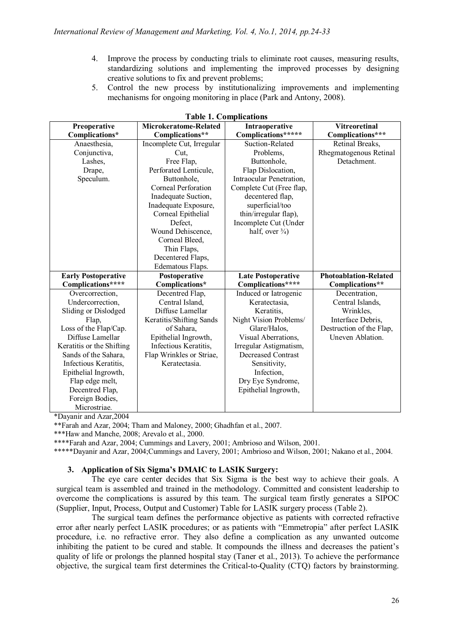- 4. Improve the process by conducting trials to eliminate root causes, measuring results, standardizing solutions and implementing the improved processes by designing creative solutions to fix and prevent problems;
- 5. Control the new process by institutionalizing improvements and implementing mechanisms for ongoing monitoring in place (Park and Antony, 2008).

| Preoperative               | Microkeratome-Related     | Intraoperative             | <b>Vitreoretinal</b>         |
|----------------------------|---------------------------|----------------------------|------------------------------|
| Complications*             | Complications**           | Complications*****         | Complications***             |
| Anaesthesia,               | Incomplete Cut, Irregular | Suction-Related            | Retinal Breaks,              |
| Conjunctiva,               | Cut,                      | Problems,                  | Rhegmatogenous Retinal       |
| Lashes,                    | Free Flap,                | Buttonhole,                | Detachment.                  |
| Drape,                     | Perforated Lenticule,     | Flap Dislocation,          |                              |
| Speculum.                  | Buttonhole,               | Intraocular Penetration,   |                              |
|                            | Corneal Perforation       | Complete Cut (Free flap,   |                              |
|                            | Inadequate Suction,       | decentered flap,           |                              |
|                            | Inadequate Exposure,      | superficial/too            |                              |
|                            | Corneal Epithelial        | thin/irregular flap),      |                              |
|                            | Defect,                   | Incomplete Cut (Under      |                              |
|                            | Wound Dehiscence,         | half, over $\frac{3}{4}$ ) |                              |
|                            | Corneal Bleed,            |                            |                              |
|                            | Thin Flaps,               |                            |                              |
|                            | Decentered Flaps,         |                            |                              |
|                            | Edematous Flaps.          |                            |                              |
| <b>Early Postoperative</b> | Postoperative             | <b>Late Postoperative</b>  | <b>Photoablation-Related</b> |
| Complications****          | Complications*            | Complications****          | Complications**              |
| Overcorrection,            | Decentred Flap,           | Induced or Iatrogenic      | Decentration,                |
| Undercorrection,           | Central Island.           | Keratectasia,              | Central Islands,             |
| Sliding or Dislodged       | Diffuse Lamellar          | Keratitis,                 | Wrinkles,                    |
| Flap,                      | Keratitis/Shifting Sands  | Night Vision Problems/     | Interface Debris,            |
| Loss of the Flap/Cap.      | of Sahara,                | Glare/Halos,               | Destruction of the Flap,     |
| Diffuse Lamellar           | Epithelial Ingrowth,      | Visual Aberrations,        | Uneven Ablation.             |
| Keratitis or the Shifting  | Infectious Keratitis,     | Irregular Astigmatism,     |                              |
| Sands of the Sahara,       | Flap Wrinkles or Striae,  | <b>Decreased Contrast</b>  |                              |
| Infectious Keratitis,      | Keratectasia.             | Sensitivity,               |                              |
| Epithelial Ingrowth,       |                           | Infection,                 |                              |
| Flap edge melt,            |                           | Dry Eye Syndrome,          |                              |
| Decentred Flap,            |                           | Epithelial Ingrowth,       |                              |
| Foreign Bodies,            |                           |                            |                              |
| Microstriae.               |                           |                            |                              |

\*Dayanir and Azar,2004

\*\*Farah and Azar, 2004; Tham and Maloney, 2000; Ghadhfan et al., 2007.

\*\*\*Haw and Manche, 2008; Arevalo et al., 2000.

\*\*\*\*Farah and Azar, 2004; Cummings and Lavery, 2001; Ambrioso and Wilson, 2001.

\*\*\*\*\*Dayanir and Azar, 2004;Cummings and Lavery, 2001; Ambrioso and Wilson, 2001; Nakano et al., 2004.

# **3. Application of Six Sigma's DMAIC to LASIK Surgery:**

The eye care center decides that Six Sigma is the best way to achieve their goals. A surgical team is assembled and trained in the methodology. Committed and consistent leadership to overcome the complications is assured by this team. The surgical team firstly generates a SIPOC (Supplier, Input, Process, Output and Customer) Table for LASIK surgery process (Table 2).

The surgical team defines the performance objective as patients with corrected refractive error after nearly perfect LASIK procedures; or as patients with "Emmetropia" after perfect LASIK procedure, i.e. no refractive error. They also define a complication as any unwanted outcome inhibiting the patient to be cured and stable. It compounds the illness and decreases the patient's quality of life or prolongs the planned hospital stay (Taner et al., 2013). To achieve the performance objective, the surgical team first determines the Critical-to-Quality (CTQ) factors by brainstorming.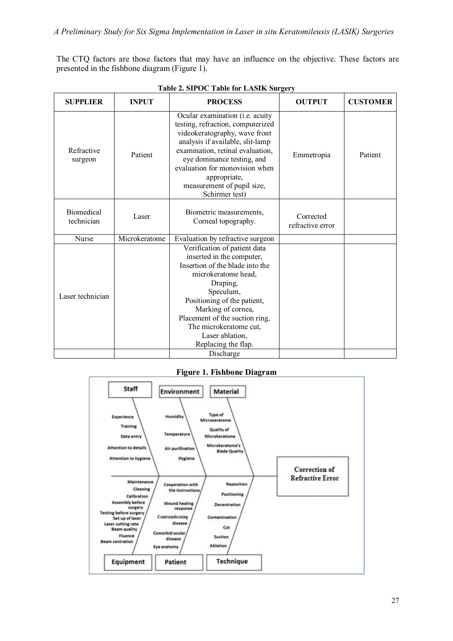The CTQ factors are those factors that may have an influence on the objective. These factors are presented in the fishbone diagram (Figure 1).

| Refractive               |               | Ocular examination (i.e. acuity<br>testing, refraction, computerized<br>videokeratography, wave front                                                                                                                                                                                                                |                               |         |
|--------------------------|---------------|----------------------------------------------------------------------------------------------------------------------------------------------------------------------------------------------------------------------------------------------------------------------------------------------------------------------|-------------------------------|---------|
| surgeon                  | Patient       | analysis if available, slit-lamp<br>examination, retinal evaluation,<br>eye dominance testing, and<br>evaluation for monovision when<br>appropriate,<br>measurement of pupil size,<br>Schirmer test)                                                                                                                 | Emmetropia                    | Patient |
| Biomedical<br>technician | Laser         | Biometric measurements,<br>Corneal topography.                                                                                                                                                                                                                                                                       | Corrected<br>refractive error |         |
| Nurse                    | Microkeratome | Evaluation by refractive surgeon                                                                                                                                                                                                                                                                                     |                               |         |
| Laser technician         |               | Verification of patient data<br>inserted in the computer,<br>Insertion of the blade into the<br>microkeratome head,<br>Draping,<br>Speculum,<br>Positioning of the patient,<br>Marking of cornea,<br>Placement of the suction ring,<br>The microkeratome cut,<br>Laser ablation,<br>Replacing the flap.<br>Discharge |                               |         |

**Figure 1. Fishbone Diagram**

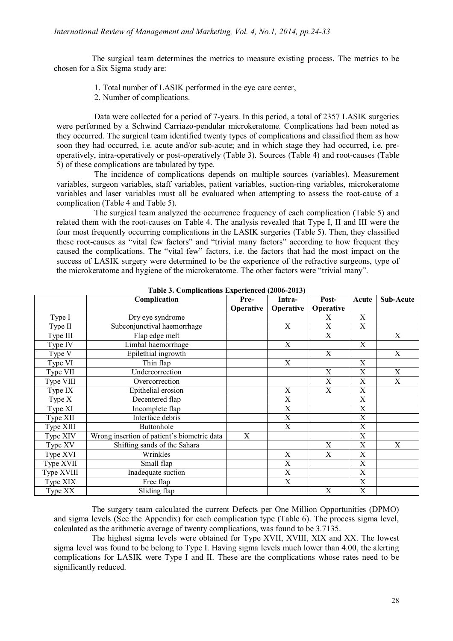# *International Review of Management and Marketing, Vol. 4, No.1, 2014, pp.24-33*

The surgical team determines the metrics to measure existing process. The metrics to be chosen for a Six Sigma study are:

- 1. Total number of LASIK performed in the eye care center,
- 2. Number of complications.

Data were collected for a period of 7-years. In this period, a total of 2357 LASIK surgeries were performed by a Schwind Carriazo-pendular microkeratome. Complications had been noted as they occurred. The surgical team identified twenty types of complications and classified them as how soon they had occurred, i.e. acute and/or sub-acute; and in which stage they had occurred, i.e. preoperatively, intra-operatively or post-operatively (Table 3). Sources (Table 4) and root-causes (Table 5) of these complications are tabulated by type.

The incidence of complications depends on multiple sources (variables). Measurement variables, surgeon variables, staff variables, patient variables, suction-ring variables, microkeratome variables and laser variables must all be evaluated when attempting to assess the root-cause of a complication (Table 4 and Table 5).

The surgical team analyzed the occurrence frequency of each complication (Table 5) and related them with the root-causes on Table 4. The analysis revealed that Type I, II and III were the four most frequently occurring complications in the LASIK surgeries (Table 5). Then, they classified these root-causes as "vital few factors" and "trivial many factors" according to how frequent they caused the complications. The "vital few" factors, i.e. the factors that had the most impact on the success of LASIK surgery were determined to be the experience of the refractive surgeons, type of the microkeratome and hygiene of the microkeratome. The other factors were "trivial many".

|            | Complication                                | Pre-      | Intra-                    | Post-                     | Acute       | Sub-Acute                 |
|------------|---------------------------------------------|-----------|---------------------------|---------------------------|-------------|---------------------------|
|            |                                             | Operative | Operative                 | Operative                 |             |                           |
| Type I     | Dry eye syndrome                            |           |                           | X                         | X           |                           |
| Type II    | Subconjunctival haemorrhage                 |           | X                         | $\boldsymbol{\mathrm{X}}$ | $\mathbf X$ |                           |
| Type III   | Flap edge melt                              |           |                           | X                         |             | X                         |
| Type IV    | Limbal haemorrhage                          |           | X                         |                           | X           |                           |
| Type V     | Epilethial ingrowth                         |           |                           | X                         |             | X                         |
| Type VI    | Thin flap                                   |           | X                         |                           | X           |                           |
| Type VII   | Undercorrection                             |           |                           | X                         | X           | $\mathbf X$               |
| Type VIII  | Overcorrection                              |           |                           | X                         | $\mathbf X$ | $\boldsymbol{\mathrm{X}}$ |
| Type IX    | Epithelial erosion                          |           | X                         | X                         | $\mathbf X$ |                           |
| Type $X$   | Decentered flap                             |           | X                         |                           | X           |                           |
| Type XI    | Incomplete flap                             |           | X                         |                           | X           |                           |
| Type XII   | Interface debris                            |           | X                         |                           | X           |                           |
| Type XIII  | Buttonhole                                  |           | X                         |                           | $\mathbf X$ |                           |
| Type XIV   | Wrong insertion of patient's biometric data | X         |                           |                           | $\mathbf X$ |                           |
| Type XV    | Shifting sands of the Sahara                |           |                           | X                         | X           | Χ                         |
| Type XVI   | Wrinkles                                    |           | X                         | $\mathbf X$               | $\mathbf X$ |                           |
| Type XVII  | Small flap                                  |           | X                         |                           | X           |                           |
| Type XVIII | Inadequate suction                          |           | X                         |                           | X           |                           |
| Type XIX   | Free flap                                   |           | $\boldsymbol{\mathrm{X}}$ |                           | $\mathbf X$ |                           |
| Type XX    | Sliding flap                                |           |                           | X                         | $\mathbf X$ |                           |

**Table 3. Complications Experienced (2006-2013)**

The surgery team calculated the current Defects per One Million Opportunities (DPMO) and sigma levels (See the Appendix) for each complication type (Table 6). The process sigma level, calculated as the arithmetic average of twenty complications, was found to be 3.7135.

The highest sigma levels were obtained for Type XVII, XVIII, XIX and XX. The lowest sigma level was found to be belong to Type I. Having sigma levels much lower than 4.00, the alerting complications for LASIK were Type I and II. These are the complications whose rates need to be significantly reduced.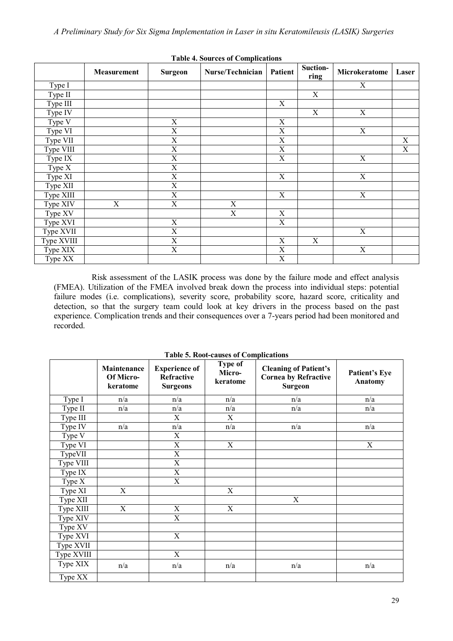|            | Measurement | <b>Surgeon</b>          | Nurse/Technician | <b>Patient</b> | Suction-<br>ring | Microkeratome  | Laser          |
|------------|-------------|-------------------------|------------------|----------------|------------------|----------------|----------------|
| Type I     |             |                         |                  |                |                  | $\mathbf X$    |                |
| Type II    |             |                         |                  |                | $\overline{X}$   |                |                |
| Type III   |             |                         |                  | $\mathbf X$    |                  |                |                |
| Type IV    |             |                         |                  |                | X                | $\mathbf X$    |                |
| Type V     |             | $\overline{X}$          |                  | $\mathbf X$    |                  |                |                |
| Type VI    |             | $\overline{\mathrm{X}}$ |                  | $\mathbf X$    |                  | $\overline{X}$ |                |
| Type VII   |             | X                       |                  | $\mathbf X$    |                  |                | $\mathbf X$    |
| Type VIII  |             | $\overline{X}$          |                  | $\overline{X}$ |                  |                | $\overline{X}$ |
| Type IX    |             | X                       |                  | $\mathbf X$    |                  | X              |                |
| Type $X$   |             | $\overline{\mathrm{X}}$ |                  |                |                  |                |                |
| Type XI    |             | $\mathbf X$             |                  | $\mathbf X$    |                  | X              |                |
| Type XII   |             | $\mathbf X$             |                  |                |                  |                |                |
| Type XIII  |             | $\overline{\mathrm{X}}$ |                  | $\mathbf X$    |                  | $\overline{X}$ |                |
| Type XIV   | X           | X                       | X                |                |                  |                |                |
| Type XV    |             |                         | $\overline{X}$   | $\mathbf X$    |                  |                |                |
| Type XVI   |             | $\mathbf X$             |                  | $\mathbf X$    |                  |                |                |
| Type XVII  |             | $\mathbf X$             |                  |                |                  | $\mathbf X$    |                |
| Type XVIII |             | $\overline{X}$          |                  | $\overline{X}$ | $\overline{X}$   |                |                |
| Type XIX   |             | $\mathbf X$             |                  | X              |                  | X              |                |
| Type XX    |             |                         |                  | $\mathbf X$    |                  |                |                |

**Table 4. Sources of Complications**

Risk assessment of the LASIK process was done by the failure mode and effect analysis (FMEA). Utilization of the FMEA involved break down the process into individual steps: potential failure modes (i.e. complications), severity score, probability score, hazard score, criticality and detection, so that the surgery team could look at key drivers in the process based on the past experience. Complication trends and their consequences over a 7-years period had been monitored and recorded.

|            | Maintenance<br><b>Of Micro-</b><br>keratome | <b>Experience of</b><br>Refractive<br><b>Surgeons</b> | <b>Type of</b><br>Micro-<br>keratome | <b>Cleaning of Patient's</b><br><b>Cornea by Refractive</b><br><b>Surgeon</b> | Patient's Eye<br>Anatomy |
|------------|---------------------------------------------|-------------------------------------------------------|--------------------------------------|-------------------------------------------------------------------------------|--------------------------|
| Type I     | n/a                                         | n/a                                                   | n/a                                  | n/a                                                                           | n/a                      |
| Type II    | n/a                                         | n/a                                                   | n/a                                  | n/a                                                                           | n/a                      |
| Type III   |                                             | X                                                     | X                                    |                                                                               |                          |
| Type IV    | n/a                                         | n/a                                                   | n/a                                  | n/a                                                                           | n/a                      |
| Type V     |                                             | $\overline{X}$                                        |                                      |                                                                               |                          |
| Type VI    |                                             | $\overline{\mathrm{X}}$                               | X                                    |                                                                               | $\mathbf X$              |
| TypeVII    |                                             | X                                                     |                                      |                                                                               |                          |
| Type VIII  |                                             | $\overline{\mathrm{X}}$                               |                                      |                                                                               |                          |
| Type IX    |                                             | $\overline{X}$                                        |                                      |                                                                               |                          |
| Type X     |                                             | $\boldsymbol{\mathrm{X}}$                             |                                      |                                                                               |                          |
| Type XI    | X                                           |                                                       | X                                    |                                                                               |                          |
| Type XII   |                                             |                                                       |                                      | X                                                                             |                          |
| Type XIII  | $\overline{X}$                              | $\overline{X}$                                        | X                                    |                                                                               |                          |
| Type XIV   |                                             | $\mathbf X$                                           |                                      |                                                                               |                          |
| Type XV    |                                             |                                                       |                                      |                                                                               |                          |
| Type XVI   |                                             | $\overline{X}$                                        |                                      |                                                                               |                          |
| Type XVII  |                                             |                                                       |                                      |                                                                               |                          |
| Type XVIII |                                             | $\overline{X}$                                        |                                      |                                                                               |                          |
| Type XIX   | n/a                                         | n/a                                                   | n/a                                  | n/a                                                                           | n/a                      |
| Type XX    |                                             |                                                       |                                      |                                                                               |                          |

**Table 5. Root-causes of Complications**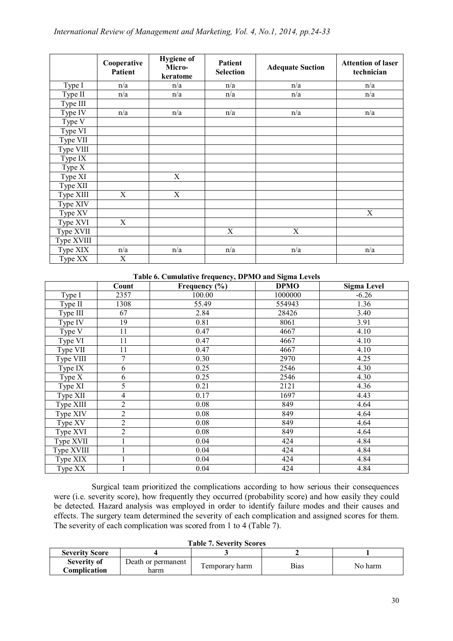|                      | Cooperative<br>Patient | <b>Hygiene</b> of<br>Micro-<br>keratome | Patient<br><b>Selection</b> | <b>Adequate Suction</b> | <b>Attention of laser</b><br>technician |
|----------------------|------------------------|-----------------------------------------|-----------------------------|-------------------------|-----------------------------------------|
| Type I               | n/a                    | n/a                                     | n/a                         | n/a                     | n/a                                     |
| Type II              | n/a                    | n/a                                     | n/a                         | n/a                     | n/a                                     |
| Type III             |                        |                                         |                             |                         |                                         |
| Type IV              | n/a                    | n/a                                     | n/a                         | n/a                     | n/a                                     |
| Type V               |                        |                                         |                             |                         |                                         |
| Type VI              |                        |                                         |                             |                         |                                         |
| Type VII             |                        |                                         |                             |                         |                                         |
| Type VIII            |                        |                                         |                             |                         |                                         |
| Type IX              |                        |                                         |                             |                         |                                         |
| Type $X$             |                        |                                         |                             |                         |                                         |
| Type XI              |                        | $\mathbf X$                             |                             |                         |                                         |
| Type XII             |                        |                                         |                             |                         |                                         |
| Type XIII            | X                      | $\mathbf X$                             |                             |                         |                                         |
| Type XIV             |                        |                                         |                             |                         |                                         |
| Type XV              |                        |                                         |                             |                         | $\mathbf X$                             |
| Type XVI             | X                      |                                         |                             |                         |                                         |
| Type XVII            |                        |                                         | X                           | X                       |                                         |
| Type XVIII           |                        |                                         |                             |                         |                                         |
| Type XIX             | n/a                    | n/a                                     | n/a                         | n/a                     | n/a                                     |
| Type $X\overline{X}$ | X                      |                                         |                             |                         |                                         |

#### **Table 6. Cumulative frequency, DPMO and Sigma Levels**

|                      | Count          | Frequency $(\% )$ | <b>DPMO</b> | <b>Sigma Level</b> |
|----------------------|----------------|-------------------|-------------|--------------------|
| Type I               | 2357           | 100.00            | 1000000     | $-6.26$            |
| Type II              | 1308           | 55.49             | 554943      | 1.36               |
| Type III             | 67             | 2.84              | 28426       | 3.40               |
| Type $\overline{IV}$ | 19             | 0.81              | 8061        | 3.91               |
| Type V               | 11             | 0.47              | 4667        | 4.10               |
| Type VI              | 11             | 0.47              | 4667        | 4.10               |
| Type VII             | 11             | 0.47              | 4667        | 4.10               |
| Type VIII            | 7              | 0.30              | 2970        | 4.25               |
| Type IX              | 6              | 0.25              | 2546        | 4.30               |
| Type $X$             | 6              | 0.25              | 2546        | 4.30               |
| Type XI              | 5              | 0.21              | 2121        | 4.36               |
| Type XII             | $\overline{4}$ | 0.17              | 1697        | 4.43               |
| Type XIII            | $\overline{2}$ | 0.08              | 849         | 4.64               |
| Type XIV             | $\overline{2}$ | 0.08              | 849         | 4.64               |
| Type XV              | $\overline{2}$ | 0.08              | 849         | 4.64               |
| Type XVI             | $\overline{2}$ | 0.08              | 849         | 4.64               |
| Type XVII            | 1              | 0.04              | 424         | 4.84               |
| Type XVIII           | $\mathbf{1}$   | 0.04              | 424         | 4.84               |
| Type XIX             | 1              | 0.04              | 424         | 4.84               |
| Type XX              |                | 0.04              | 424         | 4.84               |

Surgical team prioritized the complications according to how serious their consequences were (i.e. severity score), how frequently they occurred (probability score) and how easily they could be detected. Hazard analysis was employed in order to identify failure modes and their causes and effects. The surgery team determined the severity of each complication and assigned scores for them. The severity of each complication was scored from 1 to 4 (Table 7).

**Table 7. Severity Scores**

| THUIC I. DUITLY DEUITS |                    |                 |      |         |  |  |  |
|------------------------|--------------------|-----------------|------|---------|--|--|--|
| <b>Severity Score</b>  |                    |                 |      |         |  |  |  |
| <b>Severity of</b>     | Death or permanent | l'emporary harm | Bias | No harm |  |  |  |
| <b>Complication</b>    | าarm               |                 |      |         |  |  |  |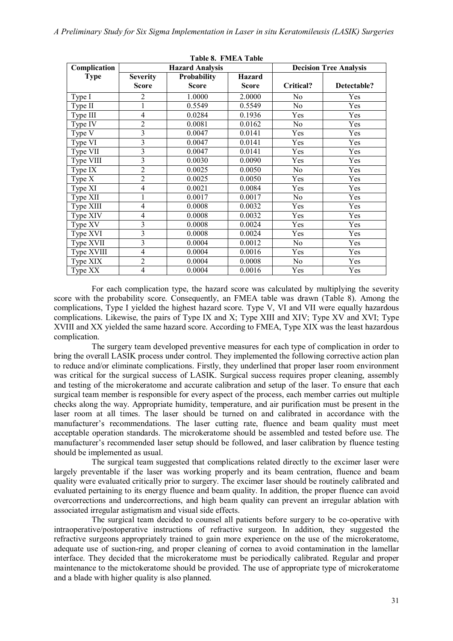**Table 8. FMEA Table**

| TADIC 0. FIVILA TADIC |                                       |                        |               |                |                               |  |  |
|-----------------------|---------------------------------------|------------------------|---------------|----------------|-------------------------------|--|--|
| Complication          |                                       | <b>Hazard Analysis</b> |               |                | <b>Decision Tree Analysis</b> |  |  |
| <b>Type</b>           | <b>Severity</b><br><b>Probability</b> |                        | <b>Hazard</b> |                |                               |  |  |
|                       | <b>Score</b>                          | <b>Score</b>           | <b>Score</b>  | Critical?      | Detectable?                   |  |  |
| Type I                | 2                                     | 1.0000                 | 2.0000        | No             | Yes                           |  |  |
| Type II               | $\mathbf{1}$                          | 0.5549                 | 0.5549        | N <sub>o</sub> | Yes                           |  |  |
| Type III              | 4                                     | 0.0284                 | 0.1936        | Yes            | Yes                           |  |  |
| Type IV               | 2                                     | 0.0081                 | 0.0162        | No             | Yes                           |  |  |
| Type $\overline{V}$   | 3                                     | 0.0047                 | 0.0141        | Yes            | Yes                           |  |  |
| Type VI               | 3                                     | 0.0047                 | 0.0141        | Yes            | Yes                           |  |  |
| Type VII              | $\overline{3}$                        | 0.0047                 | 0.0141        | Yes            | Yes                           |  |  |
| Type VIII             | 3                                     | 0.0030                 | 0.0090        | Yes            | Yes                           |  |  |
| Type IX               | $\overline{2}$                        | 0.0025                 | 0.0050        | No             | Yes                           |  |  |
| Type $X$              | $\overline{2}$                        | 0.0025                 | 0.0050        | Yes            | Yes                           |  |  |
| Type XI               | 4                                     | 0.0021                 | 0.0084        | Yes            | Yes                           |  |  |
| Type XII              | 1                                     | 0.0017                 | 0.0017        | No             | Yes                           |  |  |
| Type XIII             | 4                                     | 0.0008                 | 0.0032        | Yes            | Yes                           |  |  |
| Type XIV              | 4                                     | 0.0008                 | 0.0032        | Yes            | Yes                           |  |  |
| Type XV               | 3                                     | 0.0008                 | 0.0024        | Yes            | Yes                           |  |  |
| Type XVI              | 3                                     | 0.0008                 | 0.0024        | Yes            | Yes                           |  |  |
| Type XVII             | 3                                     | 0.0004                 | 0.0012        | No             | Yes                           |  |  |
| Type XVIII            | 4                                     | 0.0004                 | 0.0016        | Yes            | Yes                           |  |  |
| Type XIX              | $\overline{2}$                        | 0.0004                 | 0.0008        | No             | Yes                           |  |  |
| Type XX               | $\overline{4}$                        | 0.0004                 | 0.0016        | Yes            | Yes                           |  |  |

For each complication type, the hazard score was calculated by multiplying the severity score with the probability score. Consequently, an FMEA table was drawn (Table 8). Among the complications, Type I yielded the highest hazard score. Type V, VI and VII were equally hazardous complications. Likewise, the pairs of Type IX and X; Type XIII and XIV; Type XV and XVI; Type XVIII and XX yielded the same hazard score. According to FMEA, Type XIX was the least hazardous complication.

The surgery team developed preventive measures for each type of complication in order to bring the overall LASIK process under control. They implemented the following corrective action plan to reduce and/or eliminate complications. Firstly, they underlined that proper laser room environment was critical for the surgical success of LASIK. Surgical success requires proper cleaning, assembly and testing of the microkeratome and accurate calibration and setup of the laser. To ensure that each surgical team member is responsible for every aspect of the process, each member carries out multiple checks along the way. Appropriate humidity, temperature, and air purification must be present in the laser room at all times. The laser should be turned on and calibrated in accordance with the manufacturer's recommendations. The laser cutting rate, fluence and beam quality must meet acceptable operation standards. The microkeratome should be assembled and tested before use. The manufacturer's recommended laser setup should be followed, and laser calibration by fluence testing should be implemented as usual.

The surgical team suggested that complications related directly to the excimer laser were largely preventable if the laser was working properly and its beam centration, fluence and beam quality were evaluated critically prior to surgery. The excimer laser should be routinely calibrated and evaluated pertaining to its energy fluence and beam quality. In addition, the proper fluence can avoid overcorrections and undercorrections, and high beam quality can prevent an irregular ablation with associated irregular astigmatism and visual side effects.

The surgical team decided to counsel all patients before surgery to be co-operative with intraoperative/postoperative instructions of refractive surgeon. In addition, they suggested the refractive surgeons appropriately trained to gain more experience on the use of the microkeratome, adequate use of suction-ring, and proper cleaning of cornea to avoid contamination in the lamellar interface. They decided that the microkeratome must be periodically calibrated. Regular and proper maintenance to the mictokeratome should be provided. The use of appropriate type of microkeratome and a blade with higher quality is also planned.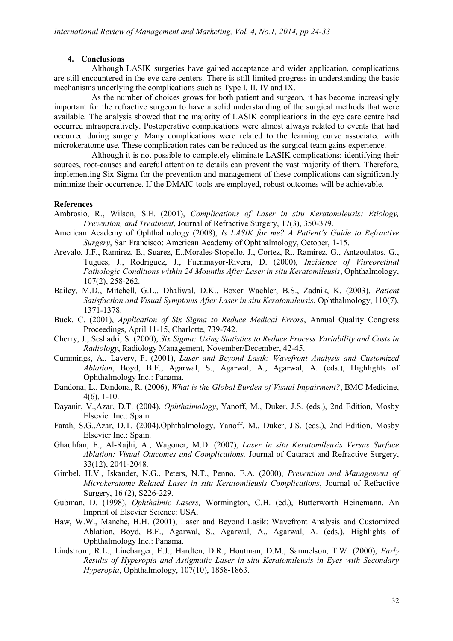## **4. Conclusions**

Although LASIK surgeries have gained acceptance and wider application, complications are still encountered in the eye care centers. There is still limited progress in understanding the basic mechanisms underlying the complications such as Type I, II, IV and IX.

As the number of choices grows for both patient and surgeon, it has become increasingly important for the refractive surgeon to have a solid understanding of the surgical methods that were available. The analysis showed that the majority of LASIK complications in the eye care centre had occurred intraoperatively. Postoperative complications were almost always related to events that had occurred during surgery. Many complications were related to the learning curve associated with microkeratome use. These complication rates can be reduced as the surgical team gains experience.

Although it is not possible to completely eliminate LASIK complications; identifying their sources, root-causes and careful attention to details can prevent the vast majority of them. Therefore, implementing Six Sigma for the prevention and management of these complications can significantly minimize their occurrence. If the DMAIC tools are employed, robust outcomes will be achievable.

#### **References**

- Ambrosio, R., Wilson, S.E. (2001), *Complications of Laser in situ Keratomileusis: Etiology, Prevention, and Treatment*, Journal of Refractive Surgery, 17(3), 350-379.
- American Academy of Ophthalmology (2008), *Is LASIK for me? A Patient's Guide to Refractive Surgery*, San Francisco: American Academy of Ophthalmology, October, 1-15.
- Arevalo, J.F., Ramirez, E., Suarez, E.,Morales-Stopello, J., Cortez, R., Ramirez, G., Antzoulatos, G., Tugues, J., Rodriguez, J., Fuenmayor-Rivera, D. (2000), *Incidence of Vitreoretinal Pathologic Conditions within 24 Mounths After Laser in situ Keratomileusis*, Ophthalmology, 107(2), 258-262.
- Bailey, M.D., Mitchell, G.L., Dhaliwal, D.K., Boxer Wachler, B.S., Zadnik, K. (2003), *Patient Satisfaction and Visual Symptoms After Laser in situ Keratomileusis*, Ophthalmology, 110(7), 1371-1378.
- Buck, C. (2001), *Application of Six Sigma to Reduce Medical Errors*, Annual Quality Congress Proceedings, April 11-15, Charlotte, 739-742.
- Cherry, J., Seshadri, S. (2000), *Six Sigma: Using Statistics to Reduce Process Variability and Costs in Radiology*, Radiology Management, November/December, 42-45.
- Cummings, A., Lavery, F. (2001), *Laser and Beyond Lasik: Wavefront Analysis and Customized Ablation*, Boyd, B.F., Agarwal, S., Agarwal, A., Agarwal, A. (eds.), Highlights of Ophthalmology Inc.: Panama.
- Dandona, L., Dandona, R. (2006), *What is the Global Burden of Visual Impairment?*, BMC Medicine,  $4(6)$ , 1-10.
- Dayanir, V.,Azar, D.T. (2004), *Ophthalmology*, Yanoff, M., Duker, J.S. (eds.), 2nd Edition, Mosby Elsevier Inc.: Spain.
- Farah, S.G.,Azar, D.T. (2004),Ophthalmology, Yanoff, M., Duker, J.S. (eds.), 2nd Edition, Mosby Elsevier Inc.: Spain.
- Ghadhfan, F., Al-Rajhi, A., Wagoner, M.D. (2007), *Laser in situ Keratomileusis Versus Surface Ablation: Visual Outcomes and Complications,* Journal of Cataract and Refractive Surgery, 33(12), 2041-2048.
- Gimbel, H.V., Iskander, N.G., Peters, N.T., Penno, E.A. (2000), *Prevention and Management of Microkeratome Related Laser in situ Keratomileusis Complications*, Journal of Refractive Surgery, 16 (2), S226-229.
- Gubman, D. (1998), *Ophthalmic Lasers,* Wormington, C.H. (ed.), Butterworth Heinemann, An Imprint of Elsevier Science: USA.
- Haw, W.W., Manche, H.H. (2001), Laser and Beyond Lasik: Wavefront Analysis and Customized Ablation, Boyd, B.F., Agarwal, S., Agarwal, A., Agarwal, A. (eds.), Highlights of Ophthalmology Inc.: Panama.
- Lindstrom, R.L., Linebarger, E.J., Hardten, D.R., Houtman, D.M., Samuelson, T.W. (2000), *Early Results of Hyperopia and Astigmatic Laser in situ Keratomileusis in Eyes with Secondary Hyperopia*, Ophthalmology, 107(10), 1858-1863.